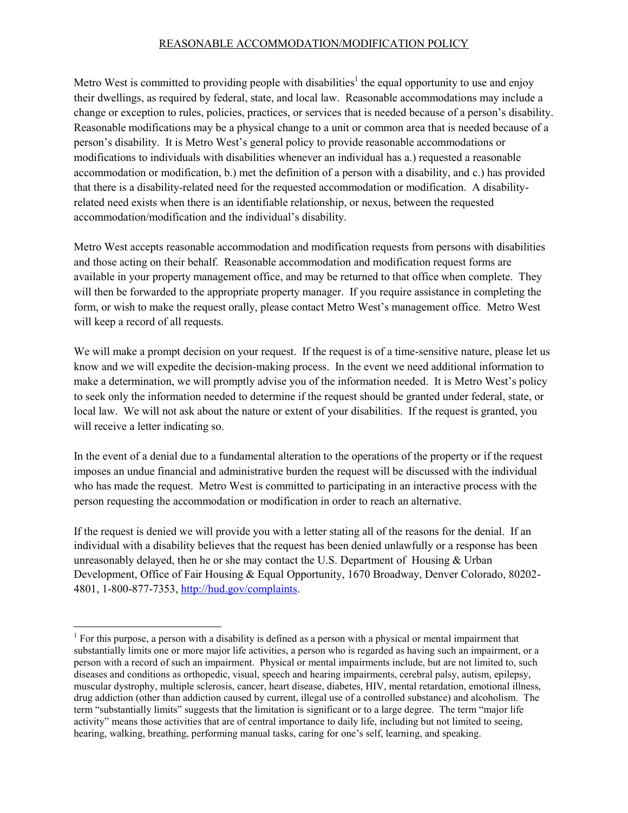## REASONABLE ACCOMMODATION/MODIFICATION POLICY

Metro West is committed to providing people with disabilities<sup>1</sup> the equal opportunity to use and enjoy their dwellings, as required by federal, state, and local law. Reasonable accommodations may include a change or exception to rules, policies, practices, or services that is needed because of a person's disability. Reasonable modifications may be a physical change to a unit or common area that is needed because of a person's disability. It is Metro West's general policy to provide reasonable accommodations or modifications to individuals with disabilities whenever an individual has a.) requested a reasonable accommodation or modification, b.) met the definition of a person with a disability, and c.) has provided that there is a disability-related need for the requested accommodation or modification. A disabilityrelated need exists when there is an identifiable relationship, or nexus, between the requested accommodation/modification and the individual's disability.

Metro West accepts reasonable accommodation and modification requests from persons with disabilities and those acting on their behalf. Reasonable accommodation and modification request forms are available in your property management office, and may be returned to that office when complete. They will then be forwarded to the appropriate property manager. If you require assistance in completing the form, or wish to make the request orally, please contact Metro West's management office. Metro West will keep a record of all requests.

We will make a prompt decision on your request. If the request is of a time-sensitive nature, please let us know and we will expedite the decision-making process. In the event we need additional information to make a determination, we will promptly advise you of the information needed. It is Metro West's policy to seek only the information needed to determine if the request should be granted under federal, state, or local law. We will not ask about the nature or extent of your disabilities. If the request is granted, you will receive a letter indicating so.

In the event of a denial due to a fundamental alteration to the operations of the property or if the request imposes an undue financial and administrative burden the request will be discussed with the individual who has made the request. Metro West is committed to participating in an interactive process with the person requesting the accommodation or modification in order to reach an alternative.

If the request is denied we will provide you with a letter stating all of the reasons for the denial. If an individual with a disability believes that the request has been denied unlawfully or a response has been unreasonably delayed, then he or she may contact the U.S. Department of Housing  $&$  Urban Development, Office of Fair Housing & Equal Opportunity, 1670 Broadway, Denver Colorado, 80202- 4801, 1-800-877-7353, [http://hud.gov/complaints.](http://hud.gov/complaints)

 $<sup>1</sup>$  For this purpose, a person with a disability is defined as a person with a physical or mental impairment that</sup> substantially limits one or more major life activities, a person who is regarded as having such an impairment, or a person with a record of such an impairment. Physical or mental impairments include, but are not limited to, such diseases and conditions as orthopedic, visual, speech and hearing impairments, cerebral palsy, autism, epilepsy, muscular dystrophy, multiple sclerosis, cancer, heart disease, diabetes, HIV, mental retardation, emotional illness, drug addiction (other than addiction caused by current, illegal use of a controlled substance) and alcoholism. The term "substantially limits" suggests that the limitation is significant or to a large degree. The term "major life activity" means those activities that are of central importance to daily life, including but not limited to seeing, hearing, walking, breathing, performing manual tasks, caring for one's self, learning, and speaking.